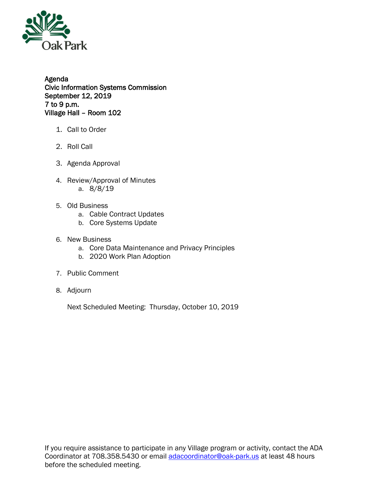

Agenda Civic Information Systems Commission September 12, 2019 7 to 9 p.m. Village Hall – Room 102

- 1. Call to Order
- 2. Roll Call
- 3. Agenda Approval
- 4. Review/Approval of Minutes a. 8/8/19
- 5. Old Business
	- a. Cable Contract Updates
	- b. Core Systems Update
- 6. New Business
	- a. Core Data Maintenance and Privacy Principles
	- b. 2020 Work Plan Adoption
- 7. Public Comment
- 8. Adjourn

Next Scheduled Meeting: Thursday, October 10, 2019